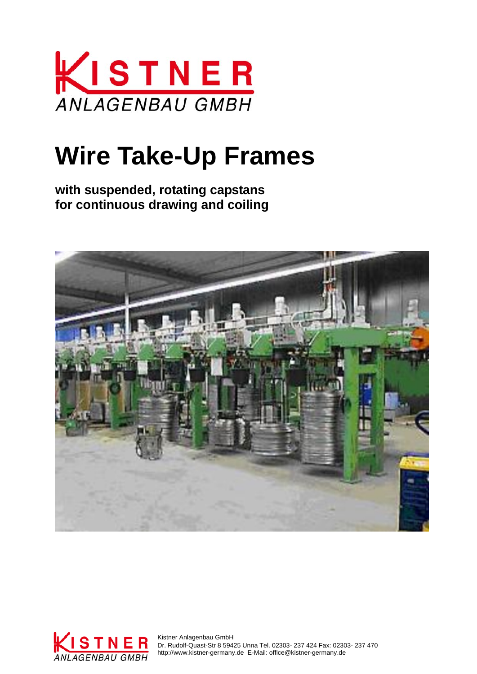

# **Wire Take-Up Frames**

**with suspended, rotating capstans for continuous drawing and coiling** 





 Dr. Rudolf-Quast-Str 8 59425 Unna Tel. 02303- 237 424 Fax: 02303- 237 470 http://www.kistner-germany.de E-Mail: office@kistner-germany.de